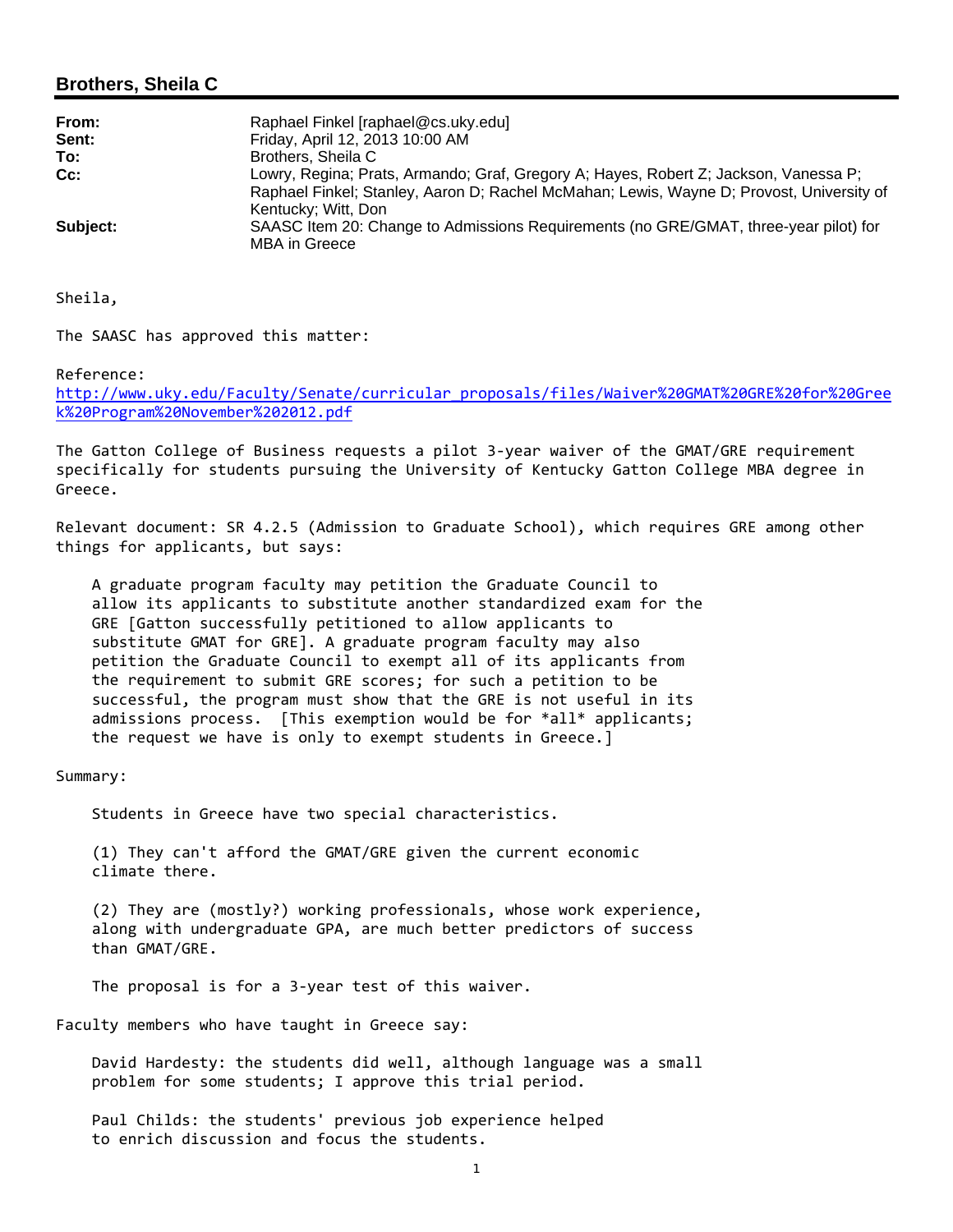## **Brothers, Sheila C**

| From:    | Raphael Finkel [raphael@cs.uky.edu]                                                                             |
|----------|-----------------------------------------------------------------------------------------------------------------|
| Sent:    | Friday, April 12, 2013 10:00 AM                                                                                 |
| To:      | Brothers, Sheila C                                                                                              |
| Cc:      | Lowry, Regina; Prats, Armando; Graf, Gregory A; Hayes, Robert Z; Jackson, Vanessa P;                            |
|          | Raphael Finkel; Stanley, Aaron D; Rachel McMahan; Lewis, Wayne D; Provost, University of<br>Kentucky; Witt, Don |
| Subject: | SAASC Item 20: Change to Admissions Requirements (no GRE/GMAT, three-year pilot) for<br>MBA in Greece           |

Sheila,

The SAASC has approved this matter:

## Reference:

http://www.uky.edu/Faculty/Senate/curricular\_proposals/files/Waiver%20GMAT%20GRE%20for%20Gree k%20Program%20November%202012.pdf

The Gatton College of Business requests a pilot 3‐year waiver of the GMAT/GRE requirement specifically for students pursuing the University of Kentucky Gatton College MBA degree in Greece.

Relevant document: SR 4.2.5 (Admission to Graduate School), which requires GRE among other things for applicants, but says:

 A graduate program faculty may petition the Graduate Council to allow its applicants to substitute another standardized exam for the GRE [Gatton successfully petitioned to allow applicants to substitute GMAT for GRE]. A graduate program faculty may also petition the Graduate Council to exempt all of its applicants from the requirement to submit GRE scores; for such a petition to be successful, the program must show that the GRE is not useful in its admissions process. [This exemption would be for \*all\* applicants; the request we have is only to exempt students in Greece.]

Summary:

Students in Greece have two special characteristics.

 (1) They can't afford the GMAT/GRE given the current economic climate there.

 (2) They are (mostly?) working professionals, whose work experience, along with undergraduate GPA, are much better predictors of success than GMAT/GRE.

The proposal is for a 3‐year test of this waiver.

Faculty members who have taught in Greece say:

 David Hardesty: the students did well, although language was a small problem for some students; I approve this trial period.

 Paul Childs: the students' previous job experience helped to enrich discussion and focus the students.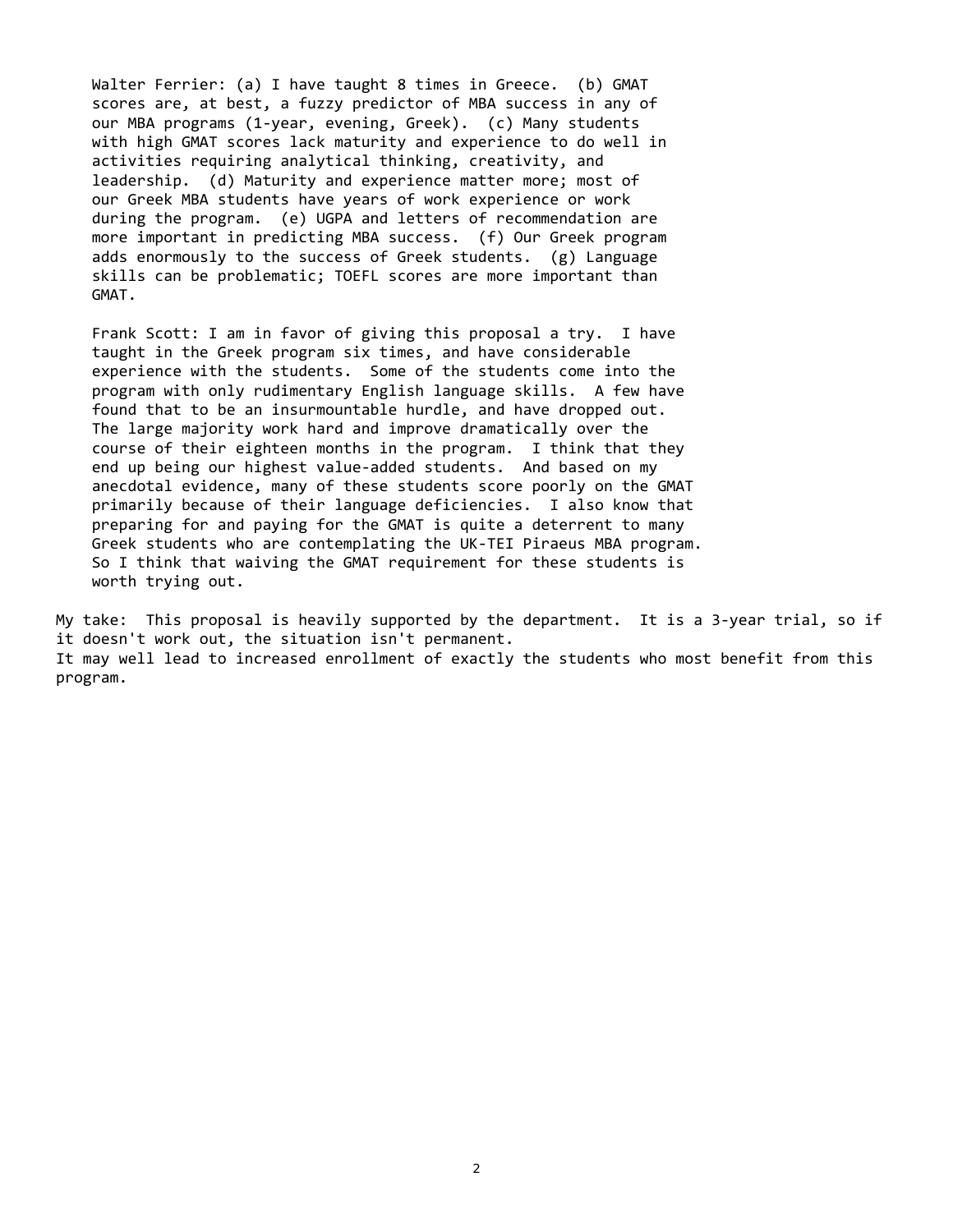Walter Ferrier: (a) I have taught 8 times in Greece. (b) GMAT scores are, at best, a fuzzy predictor of MBA success in any of our MBA programs (1‐year, evening, Greek). (c) Many students with high GMAT scores lack maturity and experience to do well in activities requiring analytical thinking, creativity, and leadership. (d) Maturity and experience matter more; most of our Greek MBA students have years of work experience or work during the program. (e) UGPA and letters of recommendation are more important in predicting MBA success. (f) Our Greek program adds enormously to the success of Greek students. (g) Language skills can be problematic; TOEFL scores are more important than GMAT.

 Frank Scott: I am in favor of giving this proposal a try. I have taught in the Greek program six times, and have considerable experience with the students. Some of the students come into the program with only rudimentary English language skills. A few have found that to be an insurmountable hurdle, and have dropped out. The large majority work hard and improve dramatically over the course of their eighteen months in the program. I think that they end up being our highest value‐added students. And based on my anecdotal evidence, many of these students score poorly on the GMAT primarily because of their language deficiencies. I also know that preparing for and paying for the GMAT is quite a deterrent to many Greek students who are contemplating the UK‐TEI Piraeus MBA program. So I think that waiving the GMAT requirement for these students is worth trying out.

My take: This proposal is heavily supported by the department. It is a 3‐year trial, so if it doesn't work out, the situation isn't permanent. It may well lead to increased enrollment of exactly the students who most benefit from this program.